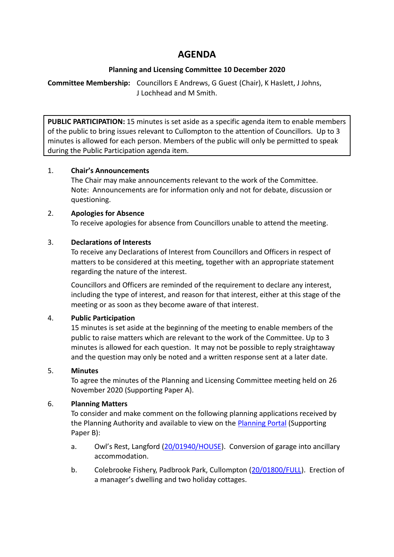# **AGENDA**

## **Planning and Licensing Committee 10 December 2020**

**Committee Membership:** Councillors E Andrews, G Guest (Chair), K Haslett, J Johns, J Lochhead and M Smith.

**PUBLIC PARTICIPATION:** 15 minutes is set aside as a specific agenda item to enable members of the public to bring issues relevant to Cullompton to the attention of Councillors. Up to 3 minutes is allowed for each person. Members of the public will only be permitted to speak during the Public Participation agenda item.

## 1. **Chair's Announcements**

The Chair may make announcements relevant to the work of the Committee. Note: Announcements are for information only and not for debate, discussion or questioning.

## 2. **Apologies for Absence**

To receive apologies for absence from Councillors unable to attend the meeting.

## 3. **Declarations of Interests**

To receive any Declarations of Interest from Councillors and Officers in respect of matters to be considered at this meeting, together with an appropriate statement regarding the nature of the interest.

Councillors and Officers are reminded of the requirement to declare any interest, including the type of interest, and reason for that interest, either at this stage of the meeting or as soon as they become aware of that interest.

# 4. **Public Participation**

15 minutes is set aside at the beginning of the meeting to enable members of the public to raise matters which are relevant to the work of the Committee. Up to 3 minutes is allowed for each question. It may not be possible to reply straightaway and the question may only be noted and a written response sent at a later date.

# 5. **Minutes**

To agree the minutes of the Planning and Licensing Committee meeting held on 26 November 2020 (Supporting Paper A).

# 6. **Planning Matters**

To consider and make comment on the following planning applications received by the Planning Authority and available to view on the [Planning Portal](https://planning.middevon.gov.uk/online-applications/) (Supporting Paper B):

- a. Owl's Rest, Langford [\(20/01940/HOUSE\)](https://planning.middevon.gov.uk/online-applications/applicationDetails.do?activeTab=documents&keyVal=QK8XLMKS04G00). Conversion of garage into ancillary accommodation.
- b. Colebrooke Fishery, Padbrook Park, Cullompton [\(20/01800/FULL\)](https://planning.middevon.gov.uk/online-applications/applicationDetails.do?activeTab=documents&keyVal=QJ0IAXKS07T00). Erection of a manager's dwelling and two holiday cottages.